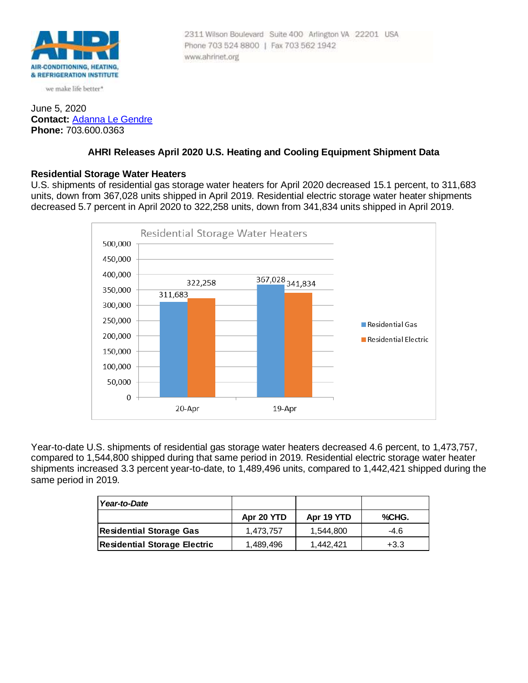

we make life better\*

#### June 5, 2020 **Contact:** [Adanna Le Gendre](mailto:AleGendre@ahrinet.org) **Phone:** 703.600.0363

# **AHRI Releases April 2020 U.S. Heating and Cooling Equipment Shipment Data**

#### **Residential Storage Water Heaters**

U.S. shipments of residential gas storage water heaters for April 2020 decreased 15.1 percent, to 311,683 units, down from 367,028 units shipped in April 2019. Residential electric storage water heater shipments decreased 5.7 percent in April 2020 to 322,258 units, down from 341,834 units shipped in April 2019.



Year-to-date U.S. shipments of residential gas storage water heaters decreased 4.6 percent, to 1,473,757, compared to 1,544,800 shipped during that same period in 2019. Residential electric storage water heater shipments increased 3.3 percent year-to-date, to 1,489,496 units, compared to 1,442,421 shipped during the same period in 2019.

| Year-to-Date                        |            |            |        |
|-------------------------------------|------------|------------|--------|
|                                     | Apr 20 YTD | Apr 19 YTD | %CHG.  |
| Residential Storage Gas             | 1.473.757  | 1.544.800  | -4.6   |
| <b>Residential Storage Electric</b> | 1,489,496  | 1.442.421  | $+3.3$ |

2311 Wilson Boulevard Suite 400 Arlington VA 22201 USA Phone 703 524 8800 | Fax 703 562 1942 www.ahrinet.org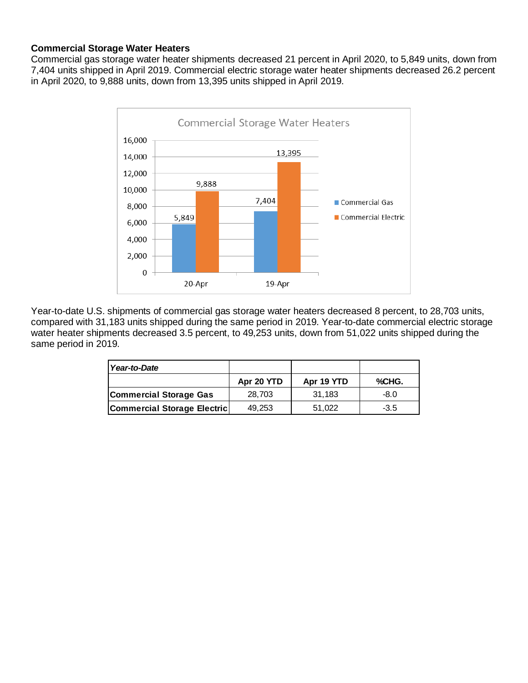### **Commercial Storage Water Heaters**

Commercial gas storage water heater shipments decreased 21 percent in April 2020, to 5,849 units, down from 7,404 units shipped in April 2019. Commercial electric storage water heater shipments decreased 26.2 percent in April 2020, to 9,888 units, down from 13,395 units shipped in April 2019.



Year-to-date U.S. shipments of commercial gas storage water heaters decreased 8 percent, to 28,703 units, compared with 31,183 units shipped during the same period in 2019. Year-to-date commercial electric storage water heater shipments decreased 3.5 percent, to 49,253 units, down from 51,022 units shipped during the same period in 2019.

| Year-to-Date                  |            |            |        |
|-------------------------------|------------|------------|--------|
|                               | Apr 20 YTD | Apr 19 YTD | %CHG.  |
| <b>Commercial Storage Gas</b> | 28,703     | 31.183     | -8.0   |
| Commercial Storage Electric   | 49.253     | 51.022     | $-3.5$ |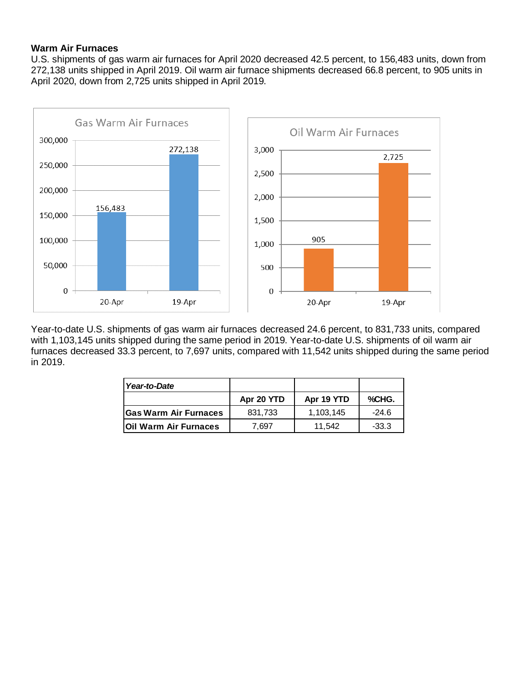#### **Warm Air Furnaces**

U.S. shipments of gas warm air furnaces for April 2020 decreased 42.5 percent, to 156,483 units, down from 272,138 units shipped in April 2019. Oil warm air furnace shipments decreased 66.8 percent, to 905 units in April 2020, down from 2,725 units shipped in April 2019.



Year-to-date U.S. shipments of gas warm air furnaces decreased 24.6 percent, to 831,733 units, compared with 1,103,145 units shipped during the same period in 2019. Year-to-date U.S. shipments of oil warm air furnaces decreased 33.3 percent, to 7,697 units, compared with 11,542 units shipped during the same period in 2019.

| Year-to-Date                 |            |            |         |
|------------------------------|------------|------------|---------|
|                              | Apr 20 YTD | Apr 19 YTD | %CHG.   |
| <b>Gas Warm Air Furnaces</b> | 831,733    | 1.103.145  | $-24.6$ |
| Oil Warm Air Furnaces        | 7.697      | 11.542     | $-33.3$ |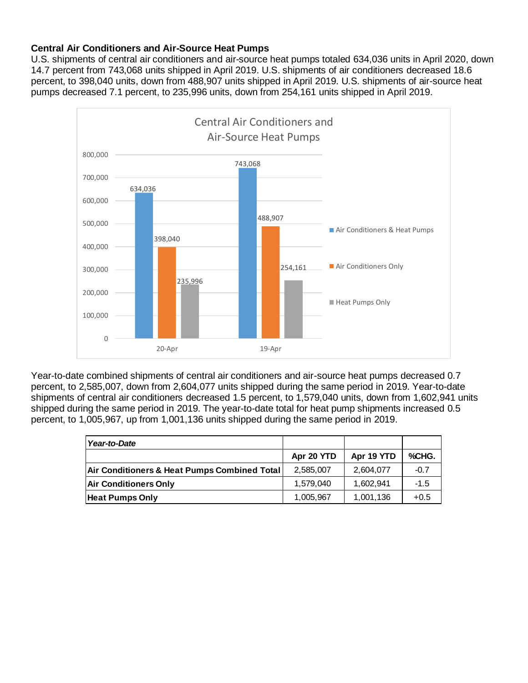#### **Central Air Conditioners and Air-Source Heat Pumps**

U.S. shipments of central air conditioners and air-source heat pumps totaled 634,036 units in April 2020, down 14.7 percent from 743,068 units shipped in April 2019. U.S. shipments of air conditioners decreased 18.6 percent, to 398,040 units, down from 488,907 units shipped in April 2019. U.S. shipments of air-source heat pumps decreased 7.1 percent, to 235,996 units, down from 254,161 units shipped in April 2019.



Year-to-date combined shipments of central air conditioners and air-source heat pumps decreased 0.7 percent, to 2,585,007, down from 2,604,077 units shipped during the same period in 2019. Year-to-date shipments of central air conditioners decreased 1.5 percent, to 1,579,040 units, down from 1,602,941 units shipped during the same period in 2019. The year-to-date total for heat pump shipments increased 0.5 percent, to 1,005,967, up from 1,001,136 units shipped during the same period in 2019.

| Year-to-Date                                            |            |            |        |
|---------------------------------------------------------|------------|------------|--------|
|                                                         | Apr 20 YTD | Apr 19 YTD | %CHG.  |
| <b>Air Conditioners &amp; Heat Pumps Combined Total</b> | 2,585,007  | 2,604,077  | $-0.7$ |
| <b>Air Conditioners Only</b>                            | 1.579.040  | 1.602.941  | $-1.5$ |
| <b>Heat Pumps Only</b>                                  | 1,005,967  | 1,001,136  | $+0.5$ |